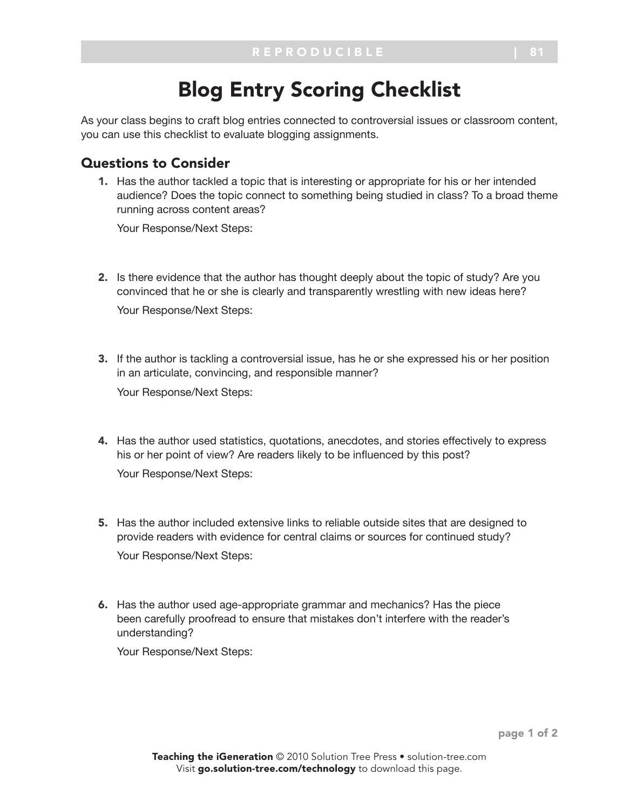## Blog Entry Scoring Checklist

As your class begins to craft blog entries connected to controversial issues or classroom content, you can use this checklist to evaluate blogging assignments.

## Questions to Consider

1. Has the author tackled a topic that is interesting or appropriate for his or her intended audience? Does the topic connect to something being studied in class? To a broad theme running across content areas?

Your Response/Next Steps:

- 2. Is there evidence that the author has thought deeply about the topic of study? Are you convinced that he or she is clearly and transparently wrestling with new ideas here? Your Response/Next Steps:
- 3. If the author is tackling a controversial issue, has he or she expressed his or her position in an articulate, convincing, and responsible manner? Your Response/Next Steps:
- 4. Has the author used statistics, quotations, anecdotes, and stories effectively to express his or her point of view? Are readers likely to be influenced by this post? Your Response/Next Steps:
- 5. Has the author included extensive links to reliable outside sites that are designed to provide readers with evidence for central claims or sources for continued study? Your Response/Next Steps:
- 6. Has the author used age-appropriate grammar and mechanics? Has the piece been carefully proofread to ensure that mistakes don't interfere with the reader's understanding?

Your Response/Next Steps: